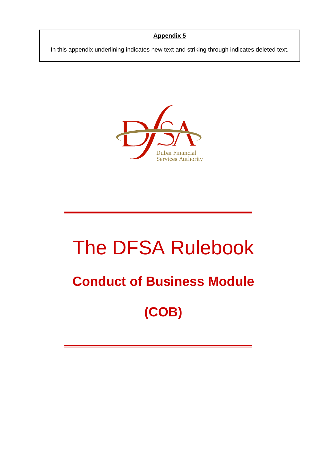## **Appendix 5**

In this appendix underlining indicates new text and striking through indicates deleted text.



# The DFSA Rulebook

# **Conduct of Business Module**

**(COB)**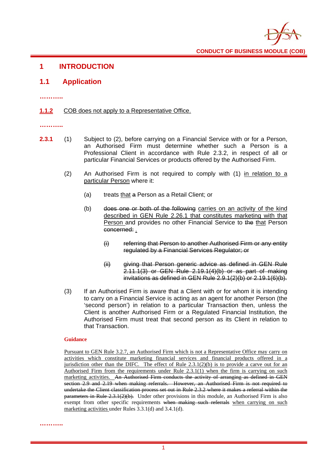

## **1 INTRODUCTION**

#### **1.1 Application**

**………..**

#### 1.1.2 COB does not apply to a Representative Office.

**………..**

- **2.3.1** (1) Subject to (2), before carrying on a Financial Service with or for a Person, an Authorised Firm must determine whether such a Person is a Professional Client in accordance with Rule 2.3.2, in respect of all or particular Financial Services or products offered by the Authorised Firm.
	- (2) An Authorised Firm is not required to comply with (1) in relation to a particular Person where it:
		- (a) treats that a Person as a Retail Client; or
		- (b) does one or both of the following carries on an activity of the kind described in GEN Rule 2.26.1 that constitutes marketing with that Person and provides no other Financial Service to the that Person concerned: .
			- (i) referring that Person to another Authorised Firm or any entity regulated by a Financial Services Regulator; or
			- (ii) giving that Person generic advice as defined in GEN Rule 2.11.1(3) or GEN Rule 2.19.1(4)(b) or as part of making invitations as defined in GEN Rule 2.9.1(2)(b) or 2.19.1(6)(b).
	- (3) If an Authorised Firm is aware that a Client with or for whom it is intending to carry on a Financial Service is acting as an agent for another Person (the 'second person') in relation to a particular Transaction then, unless the Client is another Authorised Firm or a Regulated Financial Institution, the Authorised Firm must treat that second person as its Client in relation to that Transaction.

#### **Guidance**

Pursuant to GEN Rule 3.2.7, an Authorised Firm which is not a Representative Office may carry on activities which constitute marketing financial services and financial products offered in a jurisdiction other than the DIFC. The effect of Rule  $2.3.1(2)(b)$  is to provide a carve out for an Authorised Firm from the requirements under Rule 2.3.1(1) when the firm is carrying on such marketing activities. An Authorised Firm conducts the activity of arranging as defined in GEN section 2.9 and 2.19 when making referrals. However, an Authorised Firm is not required to undertake the Client classification process set out in Rule 2.3.2 where it makes a referral within the  $\theta$  parameters in Rule 2.3.1(2)(b). Under other provisions in this module, an Authorised Firm is also exempt from other specific requirements when making such referrals when carrying on such marketing activities under Rules 3.3.1(d) and 3.4.1(d).

**………..**